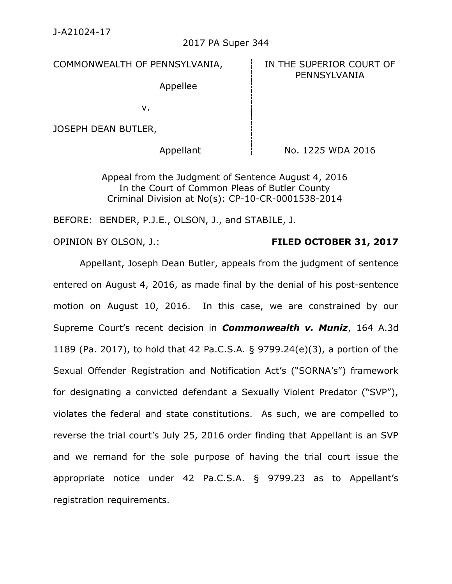### 2017 PA Super 344

COMMONWEALTH OF PENNSYLVANIA, FOR THE SUPERIOR COURT OF

PENNSYLVANIA

Appellee

v.

JOSEPH DEAN BUTLER,

Appellant  $\frac{1}{2}$  No. 1225 WDA 2016

Appeal from the Judgment of Sentence August 4, 2016 In the Court of Common Pleas of Butler County Criminal Division at No(s): CP-10-CR-0001538-2014

BEFORE: BENDER, P.J.E., OLSON, J., and STABILE, J.

# OPINION BY OLSON, J.: **FILED OCTOBER 31, 2017**

Appellant, Joseph Dean Butler, appeals from the judgment of sentence entered on August 4, 2016, as made final by the denial of his post-sentence motion on August 10, 2016. In this case, we are constrained by our Supreme Court's recent decision in *Commonwealth v. Muniz*, 164 A.3d 1189 (Pa. 2017), to hold that 42 Pa.C.S.A. § 9799.24(e)(3), a portion of the Sexual Offender Registration and Notification Act's ("SORNA's") framework for designating a convicted defendant a Sexually Violent Predator ("SVP"), violates the federal and state constitutions. As such, we are compelled to reverse the trial court's July 25, 2016 order finding that Appellant is an SVP and we remand for the sole purpose of having the trial court issue the appropriate notice under 42 Pa.C.S.A. § 9799.23 as to Appellant's registration requirements.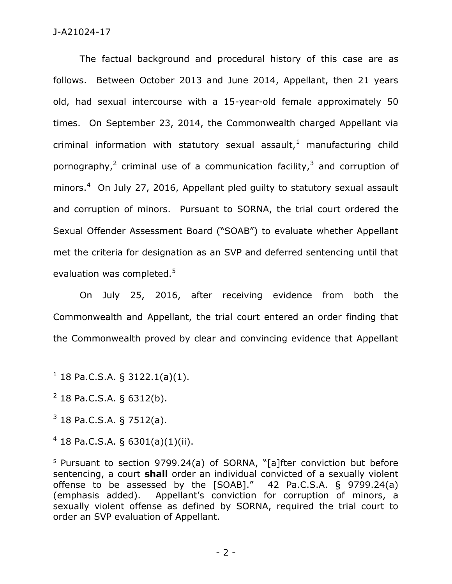The factual background and procedural history of this case are as follows. Between October 2013 and June 2014, Appellant, then 21 years old, had sexual intercourse with a 15-year-old female approximately 50 times. On September 23, 2014, the Commonwealth charged Appellant via criminal information with statutory sexual assault, $1$  manufacturing child pornography,<sup>2</sup> criminal use of a communication facility,<sup>3</sup> and corruption of minors.<sup>4</sup> On July 27, 2016, Appellant pled guilty to statutory sexual assault and corruption of minors. Pursuant to SORNA, the trial court ordered the Sexual Offender Assessment Board ("SOAB") to evaluate whether Appellant met the criteria for designation as an SVP and deferred sentencing until that evaluation was completed.<sup>5</sup>

On July 25, 2016, after receiving evidence from both the Commonwealth and Appellant, the trial court entered an order finding that the Commonwealth proved by clear and convincing evidence that Appellant

 $\overline{a}$ 

 $4$  18 Pa.C.S.A. § 6301(a)(1)(ii).

<sup>5</sup> Pursuant to section 9799.24(a) of SORNA, "[a]fter conviction but before sentencing, a court **shall** order an individual convicted of a sexually violent offense to be assessed by the [SOAB]." 42 Pa.C.S.A. § 9799.24(a) (emphasis added). Appellant's conviction for corruption of minors, a sexually violent offense as defined by SORNA, required the trial court to order an SVP evaluation of Appellant.

 $1$  18 Pa.C.S.A. § 3122.1(a)(1).

 $2$  18 Pa.C.S.A. § 6312(b).

 $3$  18 Pa.C.S.A. § 7512(a).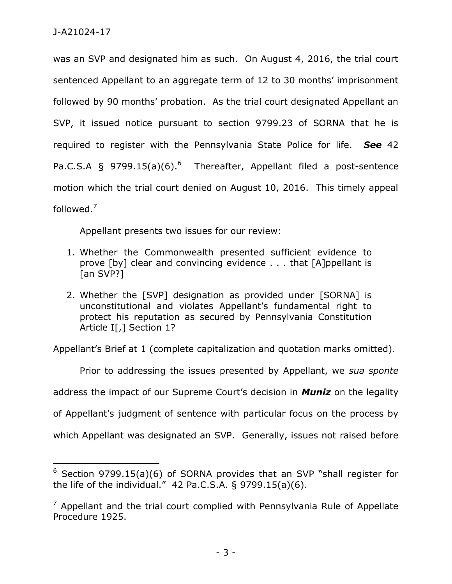$\overline{a}$ 

was an SVP and designated him as such. On August 4, 2016, the trial court sentenced Appellant to an aggregate term of 12 to 30 months' imprisonment followed by 90 months' probation. As the trial court designated Appellant an SVP, it issued notice pursuant to section 9799.23 of SORNA that he is required to register with the Pennsylvania State Police for life. *See* 42 Pa.C.S.A § 9799.15(a)(6).<sup>6</sup> Thereafter, Appellant filed a post-sentence motion which the trial court denied on August 10, 2016. This timely appeal followed.<sup>7</sup>

Appellant presents two issues for our review:

- 1. Whether the Commonwealth presented sufficient evidence to prove [by] clear and convincing evidence . . . that [A]ppellant is [an SVP?]
- 2. Whether the [SVP] designation as provided under [SORNA] is unconstitutional and violates Appellant's fundamental right to protect his reputation as secured by Pennsylvania Constitution Article I[,] Section 1?

Appellant's Brief at 1 (complete capitalization and quotation marks omitted).

Prior to addressing the issues presented by Appellant, we *sua sponte* address the impact of our Supreme Court's decision in *Muniz* on the legality of Appellant's judgment of sentence with particular focus on the process by which Appellant was designated an SVP. Generally, issues not raised before

<sup>6</sup> Section 9799.15(a)(6) of SORNA provides that an SVP "shall register for the life of the individual." 42 Pa.C.S.A. § 9799.15(a)(6).

 $<sup>7</sup>$  Appellant and the trial court complied with Pennsylvania Rule of Appellate</sup> Procedure 1925.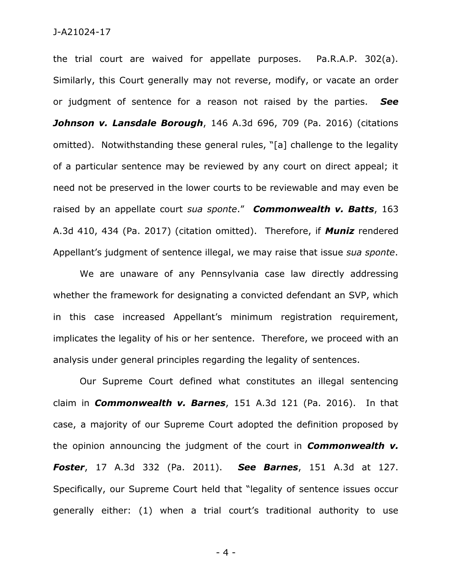the trial court are waived for appellate purposes. Pa.R.A.P. 302(a). Similarly, this Court generally may not reverse, modify, or vacate an order or judgment of sentence for a reason not raised by the parties. *See Johnson v. Lansdale Borough*, 146 A.3d 696, 709 (Pa. 2016) (citations omitted). Notwithstanding these general rules, "[a] challenge to the legality of a particular sentence may be reviewed by any court on direct appeal; it need not be preserved in the lower courts to be reviewable and may even be raised by an appellate court *sua sponte*." *Commonwealth v. Batts*, 163 A.3d 410, 434 (Pa. 2017) (citation omitted). Therefore, if *Muniz* rendered Appellant's judgment of sentence illegal, we may raise that issue *sua sponte*.

We are unaware of any Pennsylvania case law directly addressing whether the framework for designating a convicted defendant an SVP, which in this case increased Appellant's minimum registration requirement, implicates the legality of his or her sentence. Therefore, we proceed with an analysis under general principles regarding the legality of sentences.

Our Supreme Court defined what constitutes an illegal sentencing claim in *Commonwealth v. Barnes*, 151 A.3d 121 (Pa. 2016). In that case, a majority of our Supreme Court adopted the definition proposed by the opinion announcing the judgment of the court in *Commonwealth v. Foster*, 17 A.3d 332 (Pa. 2011). *See Barnes*, 151 A.3d at 127. Specifically, our Supreme Court held that "legality of sentence issues occur generally either: (1) when a trial court's traditional authority to use

- 4 -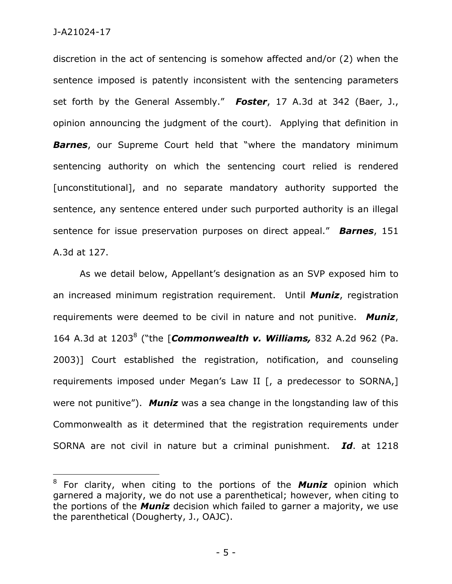$\overline{a}$ 

discretion in the act of sentencing is somehow affected and/or (2) when the sentence imposed is patently inconsistent with the sentencing parameters set forth by the General Assembly." *Foster*, 17 A.3d at 342 (Baer, J., opinion announcing the judgment of the court). Applying that definition in *Barnes*, our Supreme Court held that "where the mandatory minimum sentencing authority on which the sentencing court relied is rendered [unconstitutional], and no separate mandatory authority supported the sentence, any sentence entered under such purported authority is an illegal sentence for issue preservation purposes on direct appeal." *Barnes*, 151 A.3d at 127.

As we detail below, Appellant's designation as an SVP exposed him to an increased minimum registration requirement. Until *Muniz*, registration requirements were deemed to be civil in nature and not punitive. *Muniz*, 164 A.3d at 1203<sup>8</sup> ("the [*Commonwealth v. Williams,* 832 A.2d 962 (Pa. 2003)] Court established the registration, notification, and counseling requirements imposed under Megan's Law II [, a predecessor to SORNA,] were not punitive"). *Muniz* was a sea change in the longstanding law of this Commonwealth as it determined that the registration requirements under SORNA are not civil in nature but a criminal punishment. *Id*. at 1218

<sup>8</sup> For clarity, when citing to the portions of the *Muniz* opinion which garnered a majority, we do not use a parenthetical; however, when citing to the portions of the *Muniz* decision which failed to garner a majority, we use the parenthetical (Dougherty, J., OAJC).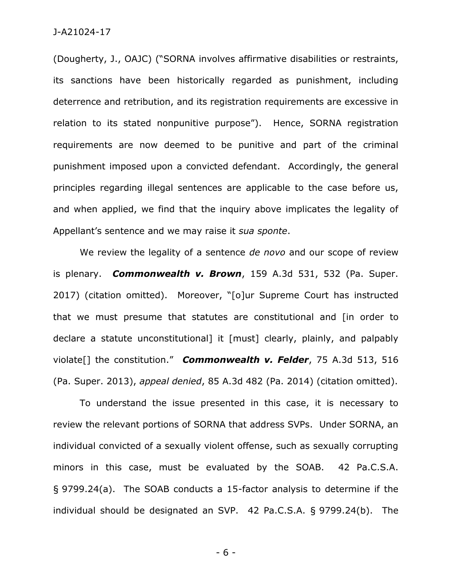(Dougherty, J., OAJC) ("SORNA involves affirmative disabilities or restraints, its sanctions have been historically regarded as punishment, including deterrence and retribution, and its registration requirements are excessive in relation to its stated nonpunitive purpose"). Hence, SORNA registration requirements are now deemed to be punitive and part of the criminal punishment imposed upon a convicted defendant. Accordingly, the general principles regarding illegal sentences are applicable to the case before us, and when applied, we find that the inquiry above implicates the legality of Appellant's sentence and we may raise it *sua sponte*.

We review the legality of a sentence *de novo* and our scope of review is plenary. *Commonwealth v. Brown*, 159 A.3d 531, 532 (Pa. Super. 2017) (citation omitted). Moreover, "[o]ur Supreme Court has instructed that we must presume that statutes are constitutional and [in order to declare a statute unconstitutional] it [must] clearly, plainly, and palpably violate[] the constitution." *Commonwealth v. Felder*, 75 A.3d 513, 516 (Pa. Super. 2013), *appeal denied*, 85 A.3d 482 (Pa. 2014) (citation omitted).

To understand the issue presented in this case, it is necessary to review the relevant portions of SORNA that address SVPs. Under SORNA, an individual convicted of a sexually violent offense, such as sexually corrupting minors in this case, must be evaluated by the SOAB. 42 Pa.C.S.A. § 9799.24(a). The SOAB conducts a 15-factor analysis to determine if the individual should be designated an SVP. 42 Pa.C.S.A. § 9799.24(b). The

- 6 -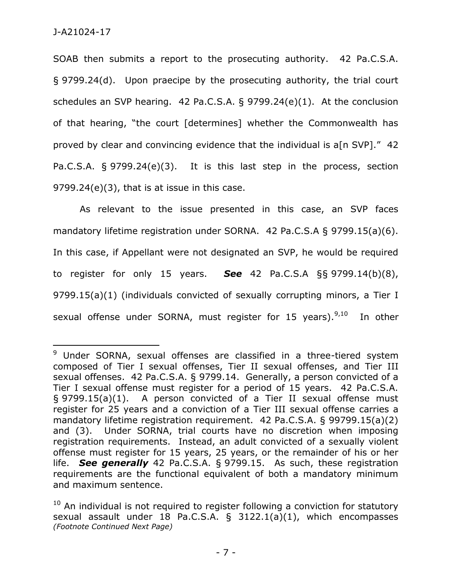$\overline{a}$ 

SOAB then submits a report to the prosecuting authority. 42 Pa.C.S.A. § 9799.24(d). Upon praecipe by the prosecuting authority, the trial court schedules an SVP hearing. 42 Pa.C.S.A. § 9799.24(e)(1). At the conclusion of that hearing, "the court [determines] whether the Commonwealth has proved by clear and convincing evidence that the individual is a[n SVP]." 42 Pa.C.S.A. § 9799.24(e)(3). It is this last step in the process, section 9799.24(e)(3), that is at issue in this case.

As relevant to the issue presented in this case, an SVP faces mandatory lifetime registration under SORNA. 42 Pa.C.S.A § 9799.15(a)(6). In this case, if Appellant were not designated an SVP, he would be required to register for only 15 years. *See* 42 Pa.C.S.A §§ 9799.14(b)(8), 9799.15(a)(1) (individuals convicted of sexually corrupting minors, a Tier I sexual offense under SORNA, must register for 15 years).<sup>9,10</sup> In other

<sup>&</sup>lt;sup>9</sup> Under SORNA, sexual offenses are classified in a three-tiered system composed of Tier I sexual offenses, Tier II sexual offenses, and Tier III sexual offenses. 42 Pa.C.S.A. § 9799.14. Generally, a person convicted of a Tier I sexual offense must register for a period of 15 years. 42 Pa.C.S.A. § 9799.15(a)(1). A person convicted of a Tier II sexual offense must register for 25 years and a conviction of a Tier III sexual offense carries a mandatory lifetime registration requirement. 42 Pa.C.S.A. § 99799.15(a)(2) and (3). Under SORNA, trial courts have no discretion when imposing registration requirements. Instead, an adult convicted of a sexually violent offense must register for 15 years, 25 years, or the remainder of his or her life. *See generally* 42 Pa.C.S.A. § 9799.15. As such, these registration requirements are the functional equivalent of both a mandatory minimum and maximum sentence.

 $10$  An individual is not required to register following a conviction for statutory sexual assault under 18 Pa.C.S.A. § 3122.1(a)(1), which encompasses *(Footnote Continued Next Page)*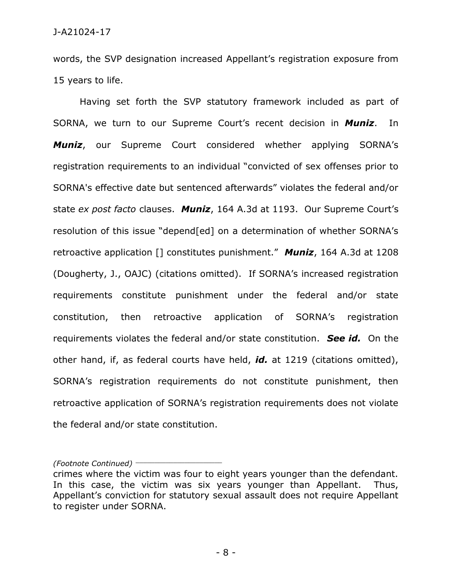words, the SVP designation increased Appellant's registration exposure from 15 years to life.

Having set forth the SVP statutory framework included as part of SORNA, we turn to our Supreme Court's recent decision in *Muniz*. In *Muniz*, our Supreme Court considered whether applying SORNA's registration requirements to an individual "convicted of sex offenses prior to SORNA's effective date but sentenced afterwards" violates the federal and/or state *ex post facto* clauses. *Muniz*, 164 A.3d at 1193. Our Supreme Court's resolution of this issue "depend[ed] on a determination of whether SORNA's retroactive application [] constitutes punishment." *Muniz*, 164 A.3d at 1208 (Dougherty, J., OAJC) (citations omitted). If SORNA's increased registration requirements constitute punishment under the federal and/or state constitution, then retroactive application of SORNA's registration requirements violates the federal and/or state constitution. *See id.* On the other hand, if, as federal courts have held, *id.* at 1219 (citations omitted), SORNA's registration requirements do not constitute punishment, then retroactive application of SORNA's registration requirements does not violate the federal and/or state constitution.

*(Footnote Continued)* \_\_\_\_\_\_\_\_\_\_\_\_\_\_\_\_\_\_\_\_\_\_\_

crimes where the victim was four to eight years younger than the defendant. In this case, the victim was six years younger than Appellant. Thus, Appellant's conviction for statutory sexual assault does not require Appellant to register under SORNA.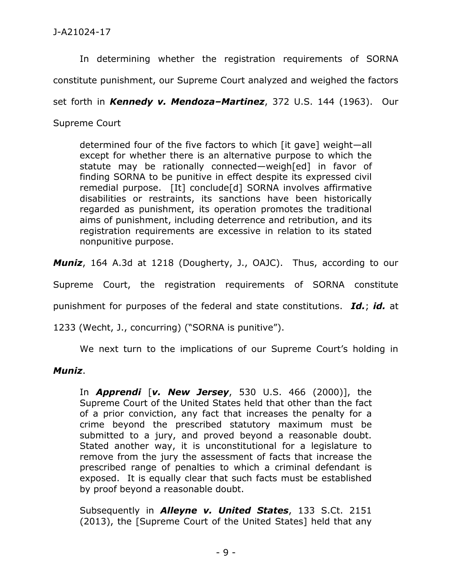In determining whether the registration requirements of SORNA

constitute punishment, our Supreme Court analyzed and weighed the factors

set forth in *Kennedy v. Mendoza–Martinez*, 372 U.S. 144 (1963). Our

Supreme Court

determined four of the five factors to which [it gave] weight—all except for whether there is an alternative purpose to which the statute may be rationally connected—weigh[ed] in favor of finding SORNA to be punitive in effect despite its expressed civil remedial purpose. [It] conclude[d] SORNA involves affirmative disabilities or restraints, its sanctions have been historically regarded as punishment, its operation promotes the traditional aims of punishment, including deterrence and retribution, and its registration requirements are excessive in relation to its stated nonpunitive purpose.

*Muniz*, 164 A.3d at 1218 (Dougherty, J., OAJC). Thus, according to our

Supreme Court, the registration requirements of SORNA constitute

punishment for purposes of the federal and state constitutions. *Id.*; *id.* at

1233 (Wecht, J., concurring) ("SORNA is punitive").

We next turn to the implications of our Supreme Court's holding in

## *Muniz*.

In *Apprendi* [*v. New Jersey*, 530 U.S. 466 (2000)], the Supreme Court of the United States held that other than the fact of a prior conviction, any fact that increases the penalty for a crime beyond the prescribed statutory maximum must be submitted to a jury, and proved beyond a reasonable doubt. Stated another way, it is unconstitutional for a legislature to remove from the jury the assessment of facts that increase the prescribed range of penalties to which a criminal defendant is exposed. It is equally clear that such facts must be established by proof beyond a reasonable doubt.

Subsequently in *Alleyne v. United States*, 133 S.Ct. 2151 (2013), the [Supreme Court of the United States] held that any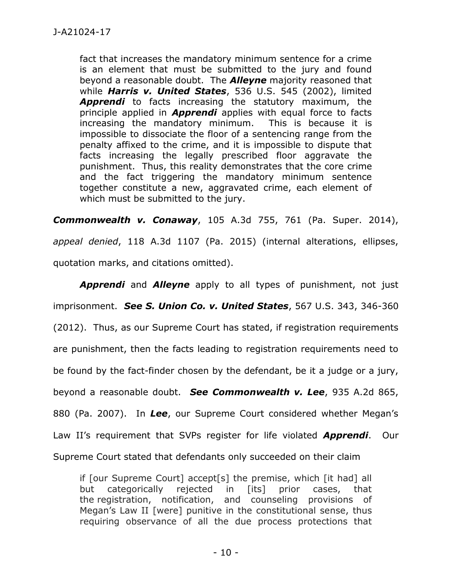fact that increases the mandatory minimum sentence for a crime is an element that must be submitted to the jury and found beyond a reasonable doubt. The *Alleyne* majority reasoned that while *Harris v. United States*, 536 U.S. 545 (2002), limited *Apprendi* to facts increasing the statutory maximum, the principle applied in *Apprendi* applies with equal force to facts increasing the mandatory minimum. This is because it is impossible to dissociate the floor of a sentencing range from the penalty affixed to the crime, and it is impossible to dispute that facts increasing the legally prescribed floor aggravate the punishment. Thus, this reality demonstrates that the core crime and the fact triggering the mandatory minimum sentence together constitute a new, aggravated crime, each element of which must be submitted to the jury.

*Commonwealth v. Conaway*, 105 A.3d 755, 761 (Pa. Super. 2014), *appeal denied*, 118 A.3d 1107 (Pa. 2015) (internal alterations, ellipses, quotation marks, and citations omitted).

*Apprendi* and *Alleyne* apply to all types of punishment, not just imprisonment. *See S. Union Co. v. United States*, 567 U.S. 343, 346-360 (2012). Thus, as our Supreme Court has stated, if registration requirements are punishment, then the facts leading to registration requirements need to be found by the fact-finder chosen by the defendant, be it a judge or a jury, beyond a reasonable doubt. *See Commonwealth v. Lee*, 935 A.2d 865, 880 (Pa. 2007). In *Lee*, our Supreme Court considered whether Megan's Law II's requirement that SVPs register for life violated *Apprendi*. Our Supreme Court stated that defendants only succeeded on their claim

if [our Supreme Court] accept[s] the premise, which [it had] all but categorically rejected in [its] prior cases, that the registration, notification, and counseling provisions of Megan's Law II [were] punitive in the constitutional sense, thus requiring observance of all the due process protections that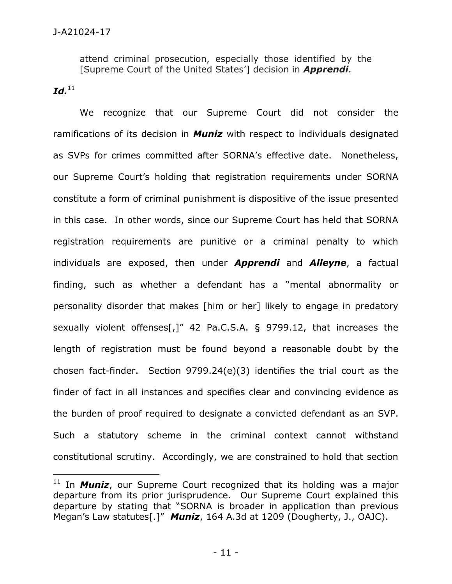attend criminal prosecution, especially those identified by the [Supreme Court of the United States'] decision in *Apprendi.*

 $\boldsymbol{Id.}^{11}$ 

 $\overline{a}$ 

We recognize that our Supreme Court did not consider the ramifications of its decision in *Muniz* with respect to individuals designated as SVPs for crimes committed after SORNA's effective date. Nonetheless, our Supreme Court's holding that registration requirements under SORNA constitute a form of criminal punishment is dispositive of the issue presented in this case. In other words, since our Supreme Court has held that SORNA registration requirements are punitive or a criminal penalty to which individuals are exposed, then under *Apprendi* and *Alleyne*, a factual finding, such as whether a defendant has a "mental abnormality or personality disorder that makes [him or her] likely to engage in predatory sexually violent offenses[,]" 42 Pa.C.S.A. § 9799.12, that increases the length of registration must be found beyond a reasonable doubt by the chosen fact-finder. Section 9799.24(e)(3) identifies the trial court as the finder of fact in all instances and specifies clear and convincing evidence as the burden of proof required to designate a convicted defendant as an SVP. Such a statutory scheme in the criminal context cannot withstand constitutional scrutiny. Accordingly, we are constrained to hold that section

<sup>&</sup>lt;sup>11</sup> In **Muniz**, our Supreme Court recognized that its holding was a major departure from its prior jurisprudence. Our Supreme Court explained this departure by stating that "SORNA is broader in application than previous Megan's Law statutes[.]" *Muniz*, 164 A.3d at 1209 (Dougherty, J., OAJC).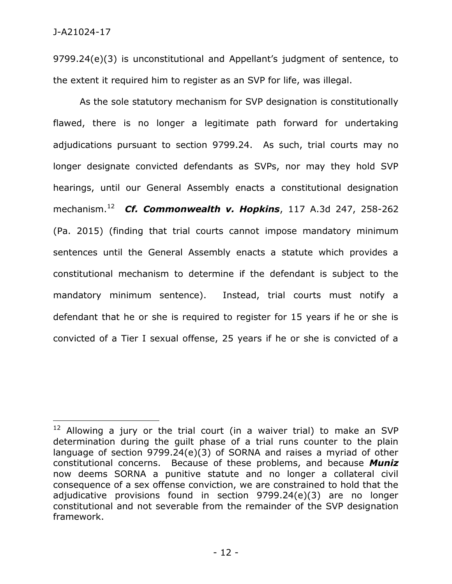$\overline{a}$ 

9799.24(e)(3) is unconstitutional and Appellant's judgment of sentence, to the extent it required him to register as an SVP for life, was illegal.

As the sole statutory mechanism for SVP designation is constitutionally flawed, there is no longer a legitimate path forward for undertaking adjudications pursuant to section 9799.24. As such, trial courts may no longer designate convicted defendants as SVPs, nor may they hold SVP hearings, until our General Assembly enacts a constitutional designation mechanism.<sup>12</sup> *Cf. Commonwealth v. Hopkins*, 117 A.3d 247, 258-262 (Pa. 2015) (finding that trial courts cannot impose mandatory minimum sentences until the General Assembly enacts a statute which provides a constitutional mechanism to determine if the defendant is subject to the mandatory minimum sentence). Instead, trial courts must notify a defendant that he or she is required to register for 15 years if he or she is convicted of a Tier I sexual offense, 25 years if he or she is convicted of a

 $12$  Allowing a jury or the trial court (in a waiver trial) to make an SVP determination during the guilt phase of a trial runs counter to the plain language of section 9799.24(e)(3) of SORNA and raises a myriad of other constitutional concerns. Because of these problems, and because *Muniz* now deems SORNA a punitive statute and no longer a collateral civil consequence of a sex offense conviction, we are constrained to hold that the adjudicative provisions found in section 9799.24(e)(3) are no longer constitutional and not severable from the remainder of the SVP designation framework.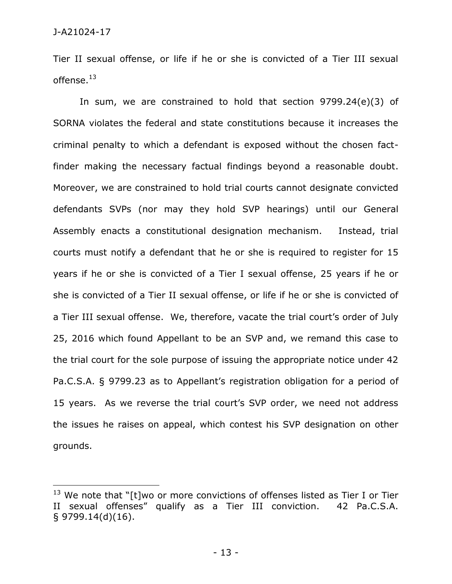$\overline{a}$ 

Tier II sexual offense, or life if he or she is convicted of a Tier III sexual offense. $^{13}$ 

In sum, we are constrained to hold that section 9799.24(e)(3) of SORNA violates the federal and state constitutions because it increases the criminal penalty to which a defendant is exposed without the chosen factfinder making the necessary factual findings beyond a reasonable doubt. Moreover, we are constrained to hold trial courts cannot designate convicted defendants SVPs (nor may they hold SVP hearings) until our General Assembly enacts a constitutional designation mechanism. Instead, trial courts must notify a defendant that he or she is required to register for 15 years if he or she is convicted of a Tier I sexual offense, 25 years if he or she is convicted of a Tier II sexual offense, or life if he or she is convicted of a Tier III sexual offense. We, therefore, vacate the trial court's order of July 25, 2016 which found Appellant to be an SVP and, we remand this case to the trial court for the sole purpose of issuing the appropriate notice under 42 Pa.C.S.A. § 9799.23 as to Appellant's registration obligation for a period of 15 years. As we reverse the trial court's SVP order, we need not address the issues he raises on appeal, which contest his SVP designation on other grounds.

 $13$  We note that "[t]wo or more convictions of offenses listed as Tier I or Tier II sexual offenses" qualify as a Tier III conviction. 42 Pa.C.S.A. § 9799.14(d)(16).